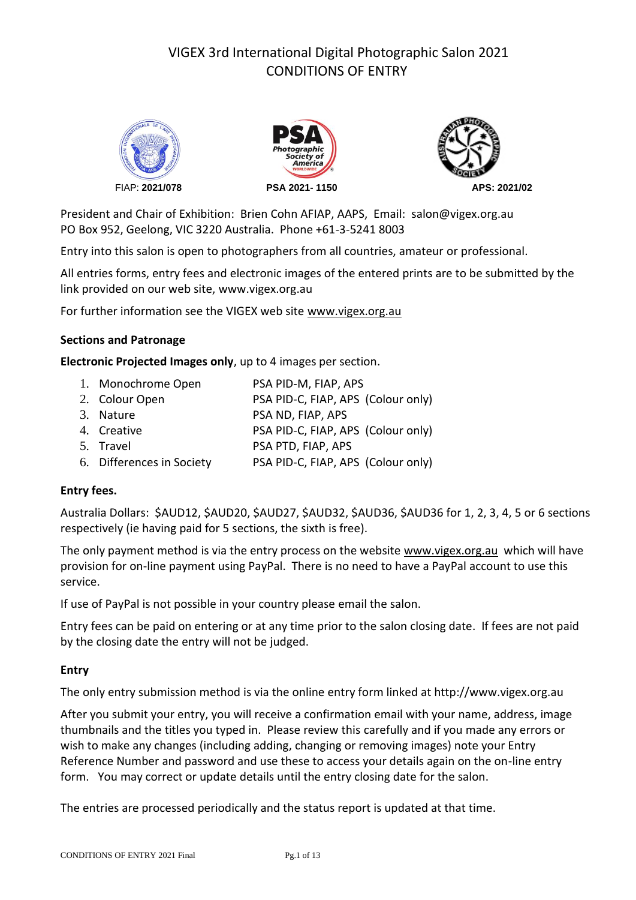# VIGEX 3rd International Digital Photographic Salon 2021 CONDITIONS OF ENTRY







President and Chair of Exhibition: Brien Cohn AFIAP, AAPS, Email[: salon@vigex.org](mailto:salon@vigex.org.au).au PO Box 952, Geelong, VIC 3220 Australia. Phone +61-3-5241 8003

Entry into this salon is open to photographers from all countries, amateur or professional.

All entries forms, entry fees and electronic images of the entered prints are to be submitted by the link provided on our web site, www.vigex.org.au

For further information see the VIGEX web site [www.vigex.org.au](http://www.vigex.org.au/) 

## **Sections and Patronage**

**Electronic Projected Images only**, up to 4 images per section.

| 1. Monochrome Open        | PSA PID-M, FIAP, APS               |
|---------------------------|------------------------------------|
| 2. Colour Open            | PSA PID-C, FIAP, APS (Colour only) |
| 3. Nature                 | PSA ND, FIAP, APS                  |
| 4. Creative               | PSA PID-C, FIAP, APS (Colour only) |
| 5. Travel                 | PSA PTD, FIAP, APS                 |
| 6. Differences in Society | PSA PID-C, FIAP, APS (Colour only) |

## **Entry fees.**

Australia Dollars: \$AUD12, \$AUD20, \$AUD27, \$AUD32, \$AUD36, \$AUD36 for 1, 2, 3, 4, 5 or 6 sections respectively (ie having paid for 5 sections, the sixth is free).

The only payment method is via the entry process on the website [www.vigex.org.au](http://www.vigex.org.au/) which will have provision for on-line payment using PayPal. There is no need to have a PayPal account to use this service.

If use of PayPal is not possible in your country please email the salon.

Entry fees can be paid on entering or at any time prior to the salon closing date. If fees are not paid by the closing date the entry will not be judged.

## **Entry**

The only entry submission method is via the online entry form linked at http://www.vigex.org.au

After you submit your entry, you will receive a confirmation email with your name, address, image thumbnails and the titles you typed in. Please review this carefully and if you made any errors or wish to make any changes (including adding, changing or removing images) note your Entry Reference Number and password and use these to access your details again on the on-line entry form. You may correct or update details until the entry closing date for the salon.

The entries are processed periodically and the status report is updated at that time.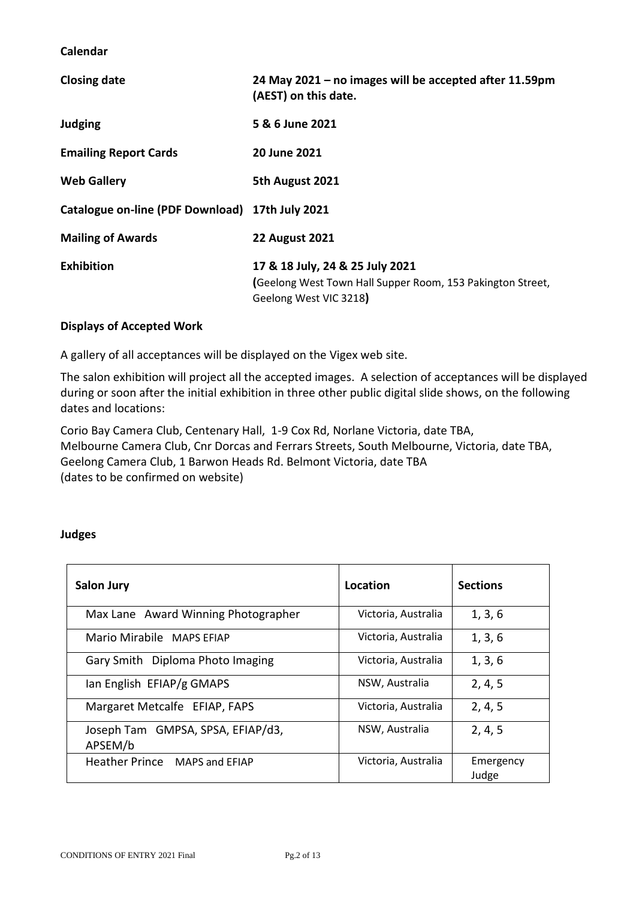**Calendar**

| <b>Closing date</b>                             | 24 May 2021 - no images will be accepted after 11.59pm<br>(AEST) on this date.                                          |
|-------------------------------------------------|-------------------------------------------------------------------------------------------------------------------------|
| <b>Judging</b>                                  | 5 & 6 June 2021                                                                                                         |
| <b>Emailing Report Cards</b>                    | 20 June 2021                                                                                                            |
| <b>Web Gallery</b>                              | 5th August 2021                                                                                                         |
| Catalogue on-line (PDF Download) 17th July 2021 |                                                                                                                         |
| <b>Mailing of Awards</b>                        | <b>22 August 2021</b>                                                                                                   |
| <b>Exhibition</b>                               | 17 & 18 July, 24 & 25 July 2021<br>(Geelong West Town Hall Supper Room, 153 Pakington Street,<br>Geelong West VIC 3218) |

## **Displays of Accepted Work**

A gallery of all acceptances will be displayed on the Vigex web site.

The salon exhibition will project all the accepted images. A selection of acceptances will be displayed during or soon after the initial exhibition in three other public digital slide shows, on the following dates and locations:

Corio Bay Camera Club, Centenary Hall, 1-9 Cox Rd, Norlane Victoria, date TBA, Melbourne Camera Club, Cnr Dorcas and Ferrars Streets, South Melbourne, Victoria, date TBA, Geelong Camera Club, 1 Barwon Heads Rd. Belmont Victoria, date TBA (dates to be confirmed on website)

#### **Judges**

| <b>Salon Jury</b>                            | Location            | <b>Sections</b>    |
|----------------------------------------------|---------------------|--------------------|
| Max Lane Award Winning Photographer          | Victoria, Australia | 1, 3, 6            |
| Mario Mirabile MAPS EFIAP                    | Victoria, Australia | 1, 3, 6            |
| Gary Smith Diploma Photo Imaging             | Victoria, Australia | 1, 3, 6            |
| lan English EFIAP/g GMAPS                    | NSW, Australia      | 2, 4, 5            |
| Margaret Metcalfe EFIAP, FAPS                | Victoria, Australia | 2, 4, 5            |
| Joseph Tam GMPSA, SPSA, EFIAP/d3,<br>APSEM/b | NSW, Australia      | 2, 4, 5            |
| Heather Prince MAPS and EFIAP                | Victoria, Australia | Emergency<br>Judge |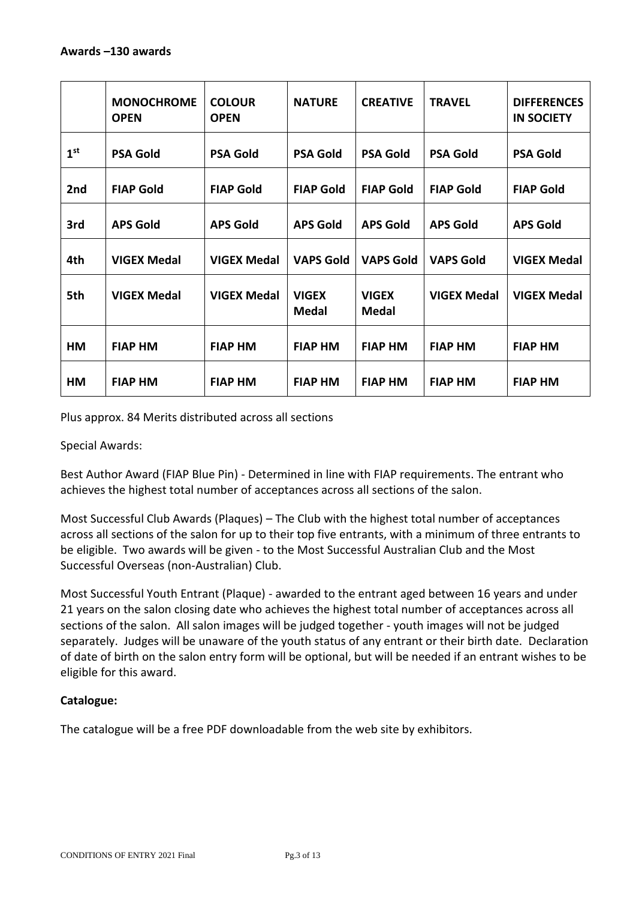|                 | <b>MONOCHROME</b><br><b>OPEN</b> | <b>COLOUR</b><br><b>OPEN</b> | <b>NATURE</b>                | <b>CREATIVE</b>              | <b>TRAVEL</b>      | <b>DIFFERENCES</b><br><b>IN SOCIETY</b> |
|-----------------|----------------------------------|------------------------------|------------------------------|------------------------------|--------------------|-----------------------------------------|
| 1 <sup>st</sup> | <b>PSA Gold</b>                  | <b>PSA Gold</b>              | <b>PSA Gold</b>              | <b>PSA Gold</b>              | <b>PSA Gold</b>    | <b>PSA Gold</b>                         |
| 2nd             | <b>FIAP Gold</b>                 | <b>FIAP Gold</b>             | <b>FIAP Gold</b>             | <b>FIAP Gold</b>             | <b>FIAP Gold</b>   | <b>FIAP Gold</b>                        |
| 3rd             | <b>APS Gold</b>                  | <b>APS Gold</b>              | <b>APS Gold</b>              | <b>APS Gold</b>              | <b>APS Gold</b>    | <b>APS Gold</b>                         |
| 4th             | <b>VIGEX Medal</b>               | <b>VIGEX Medal</b>           | <b>VAPS Gold</b>             | <b>VAPS Gold</b>             | <b>VAPS Gold</b>   | <b>VIGEX Medal</b>                      |
| 5th             | <b>VIGEX Medal</b>               | <b>VIGEX Medal</b>           | <b>VIGEX</b><br><b>Medal</b> | <b>VIGEX</b><br><b>Medal</b> | <b>VIGEX Medal</b> | <b>VIGEX Medal</b>                      |
| HM              | <b>FIAP HM</b>                   | <b>FIAP HM</b>               | <b>FIAP HM</b>               | <b>FIAP HM</b>               | <b>FIAP HM</b>     | <b>FIAP HM</b>                          |
| HM              | <b>FIAP HM</b>                   | <b>FIAP HM</b>               | <b>FIAP HM</b>               | <b>FIAP HM</b>               | <b>FIAP HM</b>     | <b>FIAP HM</b>                          |

Plus approx. 84 Merits distributed across all sections

Special Awards:

Best Author Award (FIAP Blue Pin) - Determined in line with FIAP requirements. The entrant who achieves the highest total number of acceptances across all sections of the salon.

Most Successful Club Awards (Plaques) – The Club with the highest total number of acceptances across all sections of the salon for up to their top five entrants, with a minimum of three entrants to be eligible. Two awards will be given - to the Most Successful Australian Club and the Most Successful Overseas (non-Australian) Club.

Most Successful Youth Entrant (Plaque) - awarded to the entrant aged between 16 years and under 21 years on the salon closing date who achieves the highest total number of acceptances across all sections of the salon. All salon images will be judged together - youth images will not be judged separately. Judges will be unaware of the youth status of any entrant or their birth date. Declaration of date of birth on the salon entry form will be optional, but will be needed if an entrant wishes to be eligible for this award.

## **Catalogue:**

The catalogue will be a free PDF downloadable from the web site by exhibitors.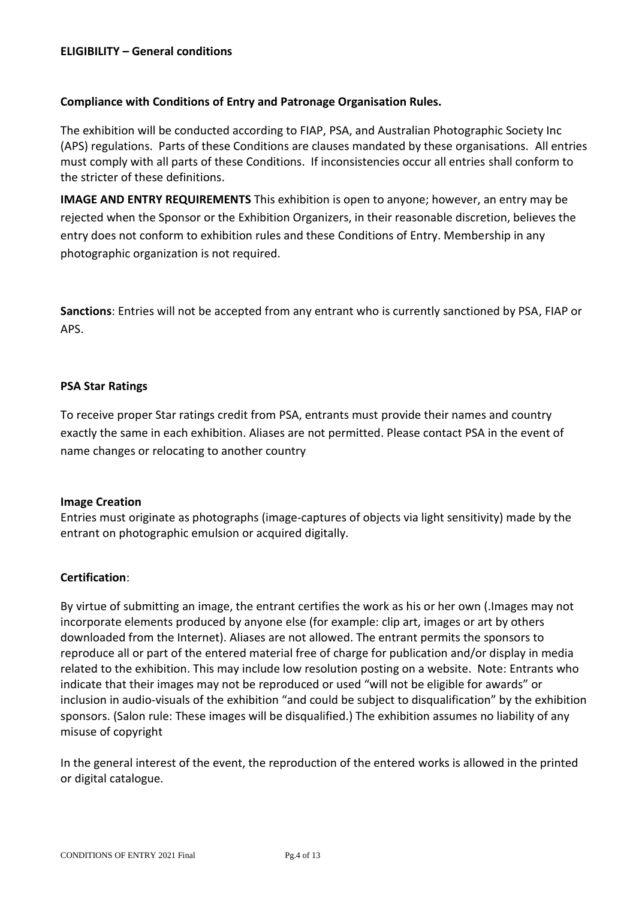## **Compliance with Conditions of Entry and Patronage Organisation Rules.**

The exhibition will be conducted according to FIAP, PSA, and Australian Photographic Society Inc (APS) regulations. Parts of these Conditions are clauses mandated by these organisations. All entries must comply with all parts of these Conditions. If inconsistencies occur all entries shall conform to the stricter of these definitions.

**IMAGE AND ENTRY REQUIREMENTS** This exhibition is open to anyone; however, an entry may be rejected when the Sponsor or the Exhibition Organizers, in their reasonable discretion, believes the entry does not conform to exhibition rules and these Conditions of Entry. Membership in any photographic organization is not required.

**Sanctions**: Entries will not be accepted from any entrant who is currently sanctioned by PSA, FIAP or APS.

#### **PSA Star Ratings**

To receive proper Star ratings credit from PSA, entrants must provide their names and country exactly the same in each exhibition. Aliases are not permitted. Please contact PSA in the event of name changes or relocating to another country

#### **Image Creation**

Entries must originate as photographs (image-captures of objects via light sensitivity) made by the entrant on photographic emulsion or acquired digitally.

## **Certification**:

By virtue of submitting an image, the entrant certifies the work as his or her own (.Images may not incorporate elements produced by anyone else (for example: clip art, images or art by others downloaded from the Internet). Aliases are not allowed. The entrant permits the sponsors to reproduce all or part of the entered material free of charge for publication and/or display in media related to the exhibition. This may include low resolution posting on a website. Note: Entrants who indicate that their images may not be reproduced or used "will not be eligible for awards" or inclusion in audio-visuals of the exhibition "and could be subject to disqualification" by the exhibition sponsors. (Salon rule: These images will be disqualified.) The exhibition assumes no liability of any misuse of copyright

In the general interest of the event, the reproduction of the entered works is allowed in the printed or digital catalogue.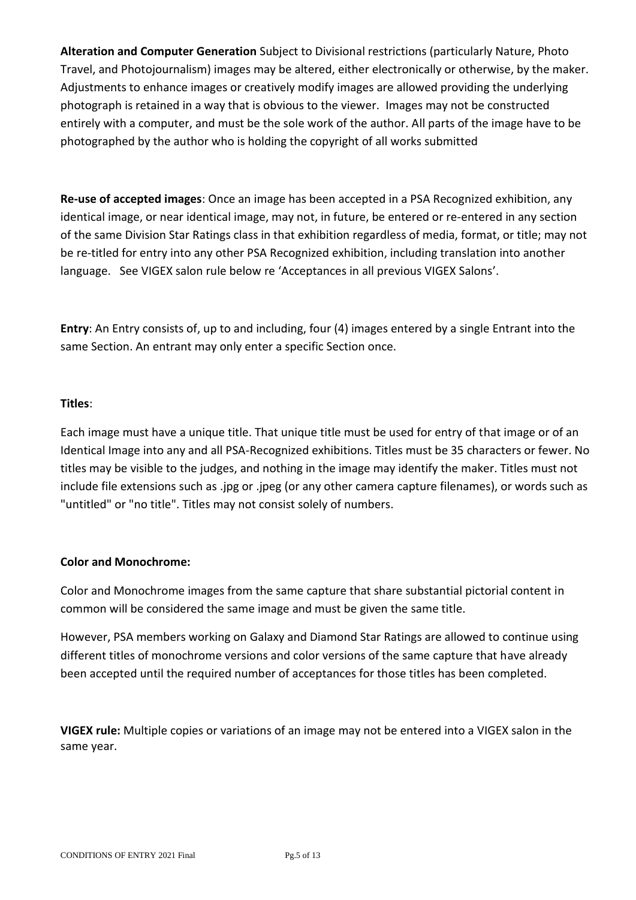**Alteration and Computer Generation** Subject to Divisional restrictions (particularly Nature, Photo Travel, and Photojournalism) images may be altered, either electronically or otherwise, by the maker. Adjustments to enhance images or creatively modify images are allowed providing the underlying photograph is retained in a way that is obvious to the viewer. Images may not be constructed entirely with a computer, and must be the sole work of the author. All parts of the image have to be photographed by the author who is holding the copyright of all works submitted

**Re-use of accepted images**: Once an image has been accepted in a PSA Recognized exhibition, any identical image, or near identical image, may not, in future, be entered or re-entered in any section of the same Division Star Ratings class in that exhibition regardless of media, format, or title; may not be re-titled for entry into any other PSA Recognized exhibition, including translation into another language. See VIGEX salon rule below re 'Acceptances in all previous VIGEX Salons'.

**Entry**: An Entry consists of, up to and including, four (4) images entered by a single Entrant into the same Section. An entrant may only enter a specific Section once.

## **Titles**:

Each image must have a unique title. That unique title must be used for entry of that image or of an Identical Image into any and all PSA-Recognized exhibitions. Titles must be 35 characters or fewer. No titles may be visible to the judges, and nothing in the image may identify the maker. Titles must not include file extensions such as .jpg or .jpeg (or any other camera capture filenames), or words such as "untitled" or "no title". Titles may not consist solely of numbers.

## **Color and Monochrome:**

Color and Monochrome images from the same capture that share substantial pictorial content in common will be considered the same image and must be given the same title.

However, PSA members working on Galaxy and Diamond Star Ratings are allowed to continue using different titles of monochrome versions and color versions of the same capture that have already been accepted until the required number of acceptances for those titles has been completed.

**VIGEX rule:** Multiple copies or variations of an image may not be entered into a VIGEX salon in the same year.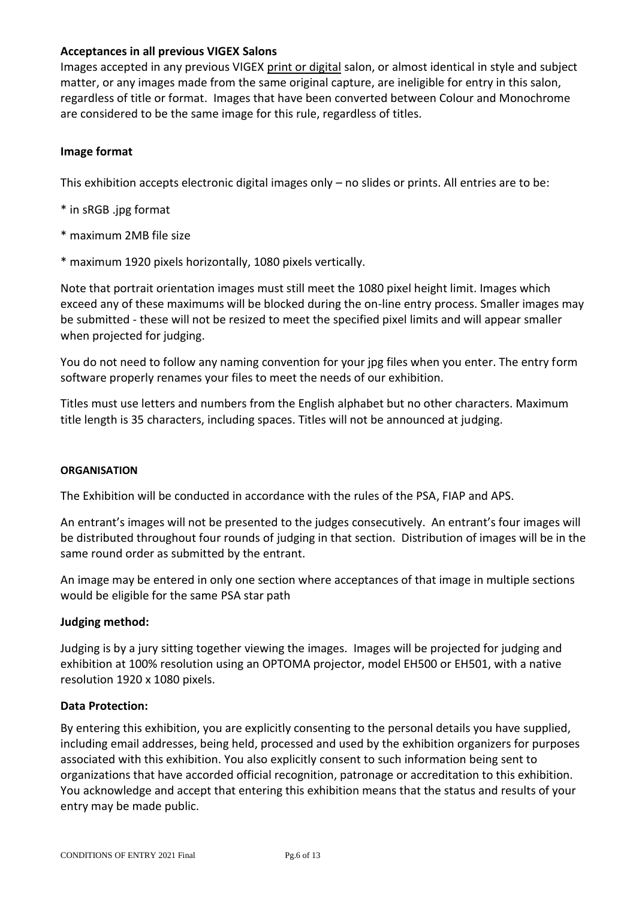## **Acceptances in all previous VIGEX Salons**

Images accepted in any previous VIGEX print or digital salon, or almost identical in style and subject matter, or any images made from the same original capture, are ineligible for entry in this salon, regardless of title or format. Images that have been converted between Colour and Monochrome are considered to be the same image for this rule, regardless of titles.

## **Image format**

This exhibition accepts electronic digital images only – no slides or prints. All entries are to be:

- \* in sRGB .jpg format
- \* maximum 2MB file size
- \* maximum 1920 pixels horizontally, 1080 pixels vertically.

Note that portrait orientation images must still meet the 1080 pixel height limit. Images which exceed any of these maximums will be blocked during the on-line entry process. Smaller images may be submitted - these will not be resized to meet the specified pixel limits and will appear smaller when projected for judging.

You do not need to follow any naming convention for your jpg files when you enter. The entry form software properly renames your files to meet the needs of our exhibition.

Titles must use letters and numbers from the English alphabet but no other characters. Maximum title length is 35 characters, including spaces. Titles will not be announced at judging.

## **ORGANISATION**

The Exhibition will be conducted in accordance with the rules of the PSA, FIAP and APS.

An entrant's images will not be presented to the judges consecutively. An entrant's four images will be distributed throughout four rounds of judging in that section. Distribution of images will be in the same round order as submitted by the entrant.

An image may be entered in only one section where acceptances of that image in multiple sections would be eligible for the same PSA star path

## **Judging method:**

Judging is by a jury sitting together viewing the images. Images will be projected for judging and exhibition at 100% resolution using an OPTOMA projector, model EH500 or EH501, with a native resolution 1920 x 1080 pixels.

## **Data Protection:**

By entering this exhibition, you are explicitly consenting to the personal details you have supplied, including email addresses, being held, processed and used by the exhibition organizers for purposes associated with this exhibition. You also explicitly consent to such information being sent to organizations that have accorded official recognition, patronage or accreditation to this exhibition. You acknowledge and accept that entering this exhibition means that the status and results of your entry may be made public.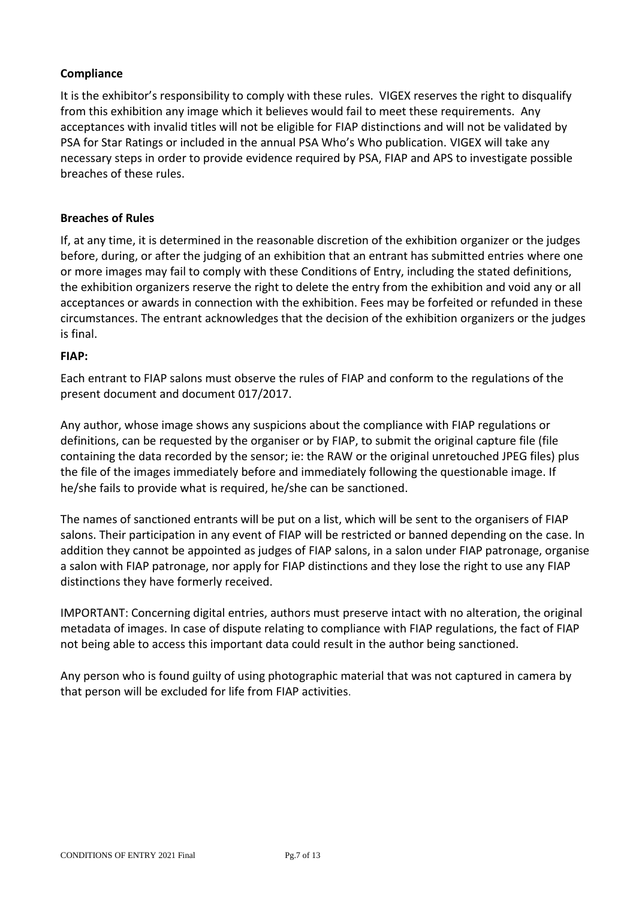## **Compliance**

It is the exhibitor's responsibility to comply with these rules. VIGEX reserves the right to disqualify from this exhibition any image which it believes would fail to meet these requirements. Any acceptances with invalid titles will not be eligible for FIAP distinctions and will not be validated by PSA for Star Ratings or included in the annual PSA Who's Who publication. VIGEX will take any necessary steps in order to provide evidence required by PSA, FIAP and APS to investigate possible breaches of these rules.

## **Breaches of Rules**

If, at any time, it is determined in the reasonable discretion of the exhibition organizer or the judges before, during, or after the judging of an exhibition that an entrant has submitted entries where one or more images may fail to comply with these Conditions of Entry, including the stated definitions, the exhibition organizers reserve the right to delete the entry from the exhibition and void any or all acceptances or awards in connection with the exhibition. Fees may be forfeited or refunded in these circumstances. The entrant acknowledges that the decision of the exhibition organizers or the judges is final.

## **FIAP:**

Each entrant to FIAP salons must observe the rules of FIAP and conform to the regulations of the present document and document 017/2017.

Any author, whose image shows any suspicions about the compliance with FIAP regulations or definitions, can be requested by the organiser or by FIAP, to submit the original capture file (file containing the data recorded by the sensor; ie: the RAW or the original unretouched JPEG files) plus the file of the images immediately before and immediately following the questionable image. If he/she fails to provide what is required, he/she can be sanctioned.

The names of sanctioned entrants will be put on a list, which will be sent to the organisers of FIAP salons. Their participation in any event of FIAP will be restricted or banned depending on the case. In addition they cannot be appointed as judges of FIAP salons, in a salon under FIAP patronage, organise a salon with FIAP patronage, nor apply for FIAP distinctions and they lose the right to use any FIAP distinctions they have formerly received.

IMPORTANT: Concerning digital entries, authors must preserve intact with no alteration, the original metadata of images. In case of dispute relating to compliance with FIAP regulations, the fact of FIAP not being able to access this important data could result in the author being sanctioned.

Any person who is found guilty of using photographic material that was not captured in camera by that person will be excluded for life from FIAP activities.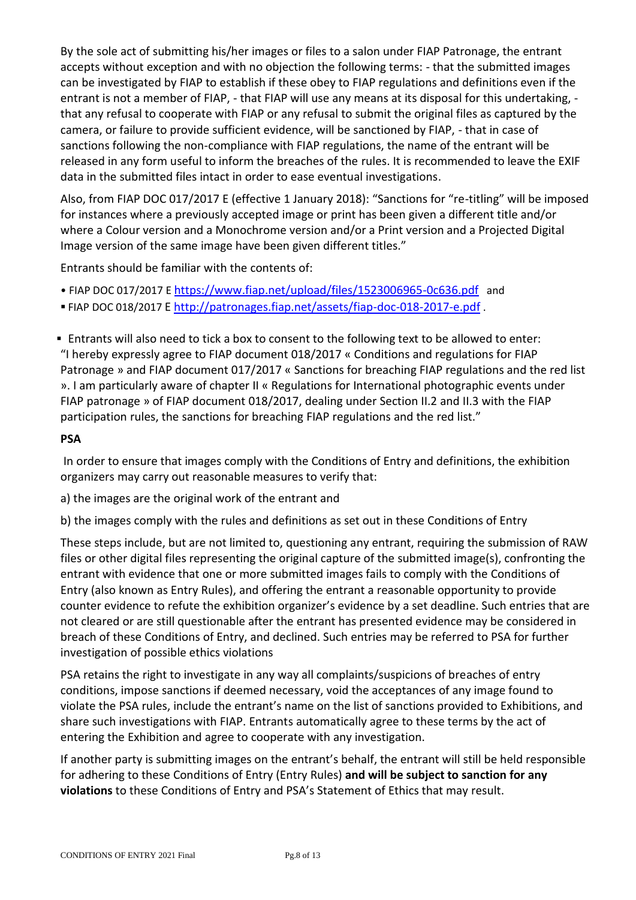By the sole act of submitting his/her images or files to a salon under FIAP Patronage, the entrant accepts without exception and with no objection the following terms: - that the submitted images can be investigated by FIAP to establish if these obey to FIAP regulations and definitions even if the entrant is not a member of FIAP, - that FIAP will use any means at its disposal for this undertaking, that any refusal to cooperate with FIAP or any refusal to submit the original files as captured by the camera, or failure to provide sufficient evidence, will be sanctioned by FIAP, - that in case of sanctions following the non-compliance with FIAP regulations, the name of the entrant will be released in any form useful to inform the breaches of the rules. It is recommended to leave the EXIF data in the submitted files intact in order to ease eventual investigations.

Also, from FIAP DOC 017/2017 E (effective 1 January 2018): "Sanctions for "re-titling" will be imposed for instances where a previously accepted image or print has been given a different title and/or where a Colour version and a Monochrome version and/or a Print version and a Projected Digital Image version of the same image have been given different titles."

Entrants should be familiar with the contents of:

- FIAP DOC 017/2017 E <https://www.fiap.net/upload/files/1523006965-0c636.pdf> and
- FIAP DOC 018/2017 E<http://patronages.fiap.net/assets/fiap-doc-018-2017-e.pdf> .

▪ Entrants will also need to tick a box to consent to the following text to be allowed to enter: "I hereby expressly agree to FIAP document 018/2017 « Conditions and regulations for FIAP Patronage » and FIAP document 017/2017 « Sanctions for breaching FIAP regulations and the red list ». I am particularly aware of chapter II « Regulations for International photographic events under FIAP patronage » of FIAP document 018/2017, dealing under Section II.2 and II.3 with the FIAP participation rules, the sanctions for breaching FIAP regulations and the red list."

## **PSA**

In order to ensure that images comply with the Conditions of Entry and definitions, the exhibition organizers may carry out reasonable measures to verify that:

a) the images are the original work of the entrant and

b) the images comply with the rules and definitions as set out in these Conditions of Entry

These steps include, but are not limited to, questioning any entrant, requiring the submission of RAW files or other digital files representing the original capture of the submitted image(s), confronting the entrant with evidence that one or more submitted images fails to comply with the Conditions of Entry (also known as Entry Rules), and offering the entrant a reasonable opportunity to provide counter evidence to refute the exhibition organizer's evidence by a set deadline. Such entries that are not cleared or are still questionable after the entrant has presented evidence may be considered in breach of these Conditions of Entry, and declined. Such entries may be referred to PSA for further investigation of possible ethics violations

PSA retains the right to investigate in any way all complaints/suspicions of breaches of entry conditions, impose sanctions if deemed necessary, void the acceptances of any image found to violate the PSA rules, include the entrant's name on the list of sanctions provided to Exhibitions, and share such investigations with FIAP. Entrants automatically agree to these terms by the act of entering the Exhibition and agree to cooperate with any investigation.

If another party is submitting images on the entrant's behalf, the entrant will still be held responsible for adhering to these Conditions of Entry (Entry Rules) **and will be subject to sanction for any violations** to these Conditions of Entry and PSA's Statement of Ethics that may result.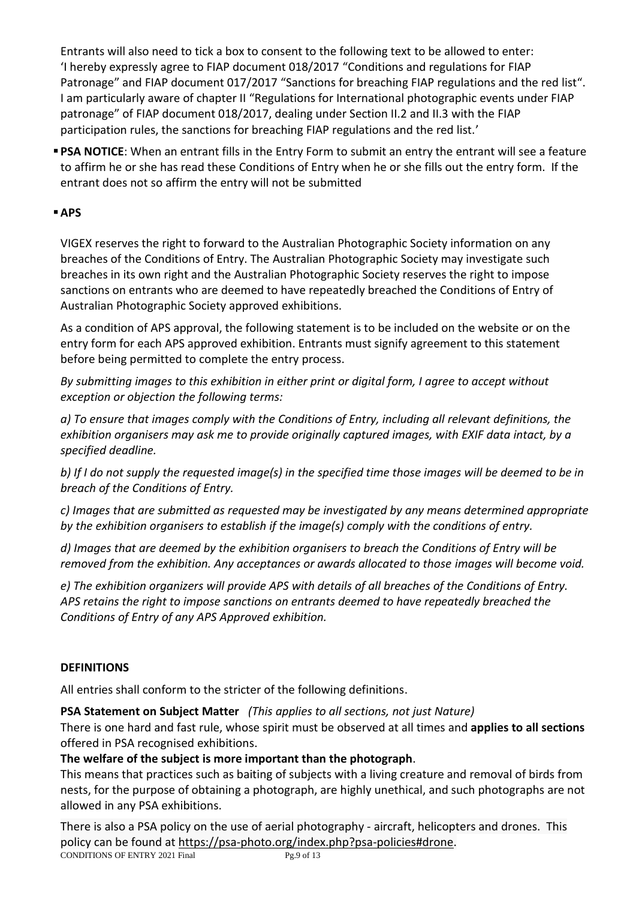Entrants will also need to tick a box to consent to the following text to be allowed to enter: 'I hereby expressly agree to FIAP document 018/2017 "Conditions and regulations for FIAP Patronage" and FIAP document 017/2017 "Sanctions for breaching FIAP regulations and the red list". I am particularly aware of chapter II "Regulations for International photographic events under FIAP patronage" of FIAP document 018/2017, dealing under Section II.2 and II.3 with the FIAP participation rules, the sanctions for breaching FIAP regulations and the red list.'

**• PSA NOTICE:** When an entrant fills in the Entry Form to submit an entry the entrant will see a feature to affirm he or she has read these Conditions of Entry when he or she fills out the entry form. If the entrant does not so affirm the entry will not be submitted

## ▪**APS**

VIGEX reserves the right to forward to the Australian Photographic Society information on any breaches of the Conditions of Entry. The Australian Photographic Society may investigate such breaches in its own right and the Australian Photographic Society reserves the right to impose sanctions on entrants who are deemed to have repeatedly breached the Conditions of Entry of Australian Photographic Society approved exhibitions.

As a condition of APS approval, the following statement is to be included on the website or on the entry form for each APS approved exhibition. Entrants must signify agreement to this statement before being permitted to complete the entry process.

*By submitting images to this exhibition in either print or digital form, I agree to accept without exception or objection the following terms:* 

*a) To ensure that images comply with the Conditions of Entry, including all relevant definitions, the exhibition organisers may ask me to provide originally captured images, with EXIF data intact, by a specified deadline.* 

*b) If I do not supply the requested image(s) in the specified time those images will be deemed to be in breach of the Conditions of Entry.* 

*c) Images that are submitted as requested may be investigated by any means determined appropriate by the exhibition organisers to establish if the image(s) comply with the conditions of entry.* 

*d) Images that are deemed by the exhibition organisers to breach the Conditions of Entry will be removed from the exhibition. Any acceptances or awards allocated to those images will become void.* 

*e) The exhibition organizers will provide APS with details of all breaches of the Conditions of Entry. APS retains the right to impose sanctions on entrants deemed to have repeatedly breached the Conditions of Entry of any APS Approved exhibition.* 

## **DEFINITIONS**

All entries shall conform to the stricter of the following definitions.

**PSA Statement on Subject Matter** *(This applies to all sections, not just Nature)*

There is one hard and fast rule, whose spirit must be observed at all times and **applies to all sections** offered in PSA recognised exhibitions.

## **The welfare of the subject is more important than the photograph**.

This means that practices such as baiting of subjects with a living creature and removal of birds from nests, for the purpose of obtaining a photograph, are highly unethical, and such photographs are not allowed in any PSA exhibitions.

There is also a PSA policy on the use of aerial photography - aircraft, helicopters and drones. This policy can be found at [https://psa-photo.org/index.php?psa-policies#drone.](https://psa-photo.org/index.php?psa-policies#drone)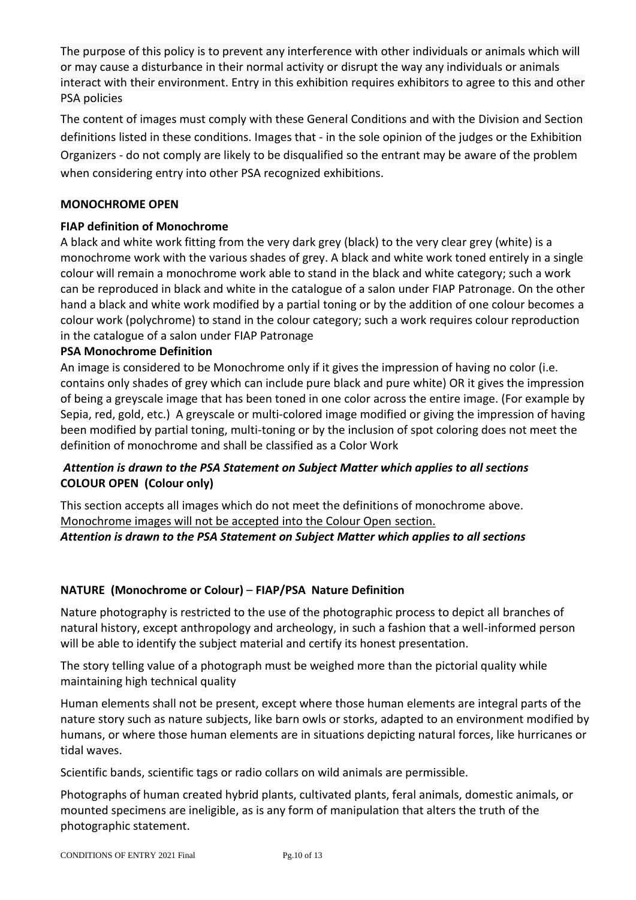The purpose of this policy is to prevent any interference with other individuals or animals which will or may cause a disturbance in their normal activity or disrupt the way any individuals or animals interact with their environment. Entry in this exhibition requires exhibitors to agree to this and other PSA policies

The content of images must comply with these General Conditions and with the Division and Section definitions listed in these conditions. Images that - in the sole opinion of the judges or the Exhibition Organizers - do not comply are likely to be disqualified so the entrant may be aware of the problem when considering entry into other PSA recognized exhibitions.

## **MONOCHROME OPEN**

## **FIAP definition of Monochrome**

A black and white work fitting from the very dark grey (black) to the very clear grey (white) is a monochrome work with the various shades of grey. A black and white work toned entirely in a single colour will remain a monochrome work able to stand in the black and white category; such a work can be reproduced in black and white in the catalogue of a salon under FIAP Patronage. On the other hand a black and white work modified by a partial toning or by the addition of one colour becomes a colour work (polychrome) to stand in the colour category; such a work requires colour reproduction in the catalogue of a salon under FIAP Patronage

## **PSA Monochrome Definition**

An image is considered to be Monochrome only if it gives the impression of having no color (i.e. contains only shades of grey which can include pure black and pure white) OR it gives the impression of being a greyscale image that has been toned in one color across the entire image. (For example by Sepia, red, gold, etc.) A greyscale or multi-colored image modified or giving the impression of having been modified by partial toning, multi-toning or by the inclusion of spot coloring does not meet the definition of monochrome and shall be classified as a Color Work

## *Attention is drawn to the PSA Statement on Subject Matter which applies to all sections* **COLOUR OPEN (Colour only)**

This section accepts all images which do not meet the definitions of monochrome above. Monochrome images will not be accepted into the Colour Open section.

*Attention is drawn to the PSA Statement on Subject Matter which applies to all sections*

## **NATURE (Monochrome or Colour)** – **FIAP/PSA Nature Definition**

Nature photography is restricted to the use of the photographic process to depict all branches of natural history, except anthropology and archeology, in such a fashion that a well-informed person will be able to identify the subject material and certify its honest presentation.

The story telling value of a photograph must be weighed more than the pictorial quality while maintaining high technical quality

Human elements shall not be present, except where those human elements are integral parts of the nature story such as nature subjects, like barn owls or storks, adapted to an environment modified by humans, or where those human elements are in situations depicting natural forces, like hurricanes or tidal waves.

Scientific bands, scientific tags or radio collars on wild animals are permissible.

Photographs of human created hybrid plants, cultivated plants, feral animals, domestic animals, or mounted specimens are ineligible, as is any form of manipulation that alters the truth of the photographic statement.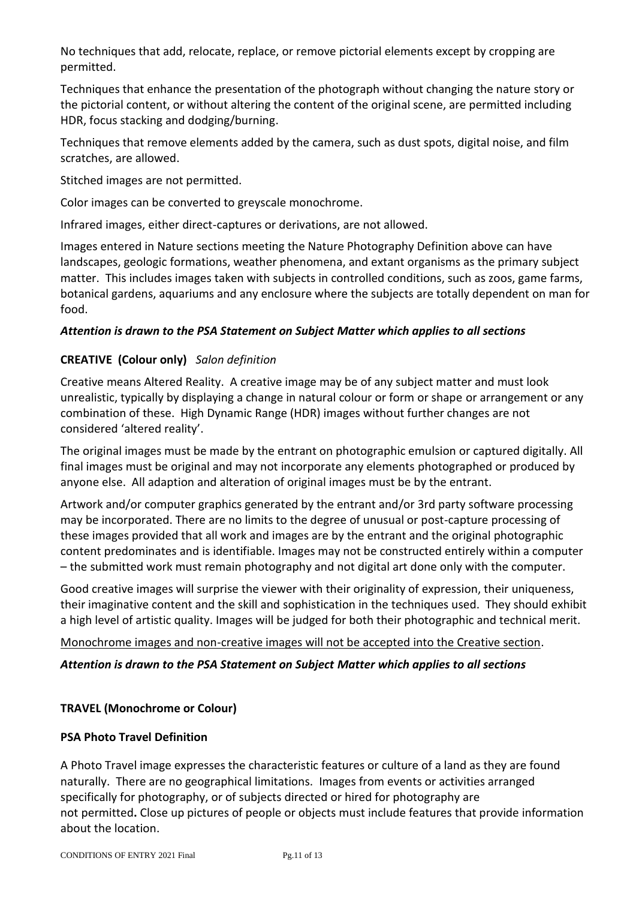No techniques that add, relocate, replace, or remove pictorial elements except by cropping are permitted.

Techniques that enhance the presentation of the photograph without changing the nature story or the pictorial content, or without altering the content of the original scene, are permitted including HDR, focus stacking and dodging/burning.

Techniques that remove elements added by the camera, such as dust spots, digital noise, and film scratches, are allowed.

Stitched images are not permitted.

Color images can be converted to greyscale monochrome.

Infrared images, either direct-captures or derivations, are not allowed.

Images entered in Nature sections meeting the Nature Photography Definition above can have landscapes, geologic formations, weather phenomena, and extant organisms as the primary subject matter. This includes images taken with subjects in controlled conditions, such as zoos, game farms, botanical gardens, aquariums and any enclosure where the subjects are totally dependent on man for food.

## *Attention is drawn to the PSA Statement on Subject Matter which applies to all sections*

## **CREATIVE (Colour only)** *Salon definition*

Creative means Altered Reality. A creative image may be of any subject matter and must look unrealistic, typically by displaying a change in natural colour or form or shape or arrangement or any combination of these. High Dynamic Range (HDR) images without further changes are not considered 'altered reality'.

The original images must be made by the entrant on photographic emulsion or captured digitally. All final images must be original and may not incorporate any elements photographed or produced by anyone else. All adaption and alteration of original images must be by the entrant.

Artwork and/or computer graphics generated by the entrant and/or 3rd party software processing may be incorporated. There are no limits to the degree of unusual or post-capture processing of these images provided that all work and images are by the entrant and the original photographic content predominates and is identifiable. Images may not be constructed entirely within a computer – the submitted work must remain photography and not digital art done only with the computer.

Good creative images will surprise the viewer with their originality of expression, their uniqueness, their imaginative content and the skill and sophistication in the techniques used. They should exhibit a high level of artistic quality. Images will be judged for both their photographic and technical merit.

## Monochrome images and non-creative images will not be accepted into the Creative section.

## *Attention is drawn to the PSA Statement on Subject Matter which applies to all sections*

## **TRAVEL (Monochrome or Colour)**

## **PSA Photo Travel Definition**

A Photo Travel image expresses the characteristic features or culture of a land as they are found naturally. There are no geographical limitations. Images from events or activities arranged specifically for photography, or of subjects directed or hired for photography are not permitted**.** Close up pictures of people or objects must include features that provide information about the location.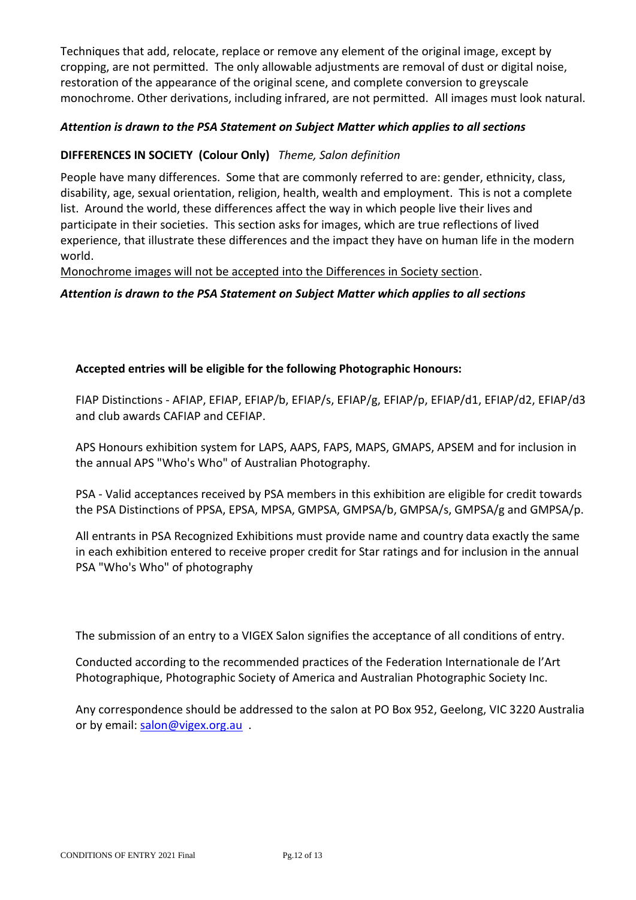Techniques that add, relocate, replace or remove any element of the original image, except by cropping, are not permitted. The only allowable adjustments are removal of dust or digital noise, restoration of the appearance of the original scene, and complete conversion to greyscale monochrome. Other derivations, including infrared, are not permitted. All images must look natural.

## *Attention is drawn to the PSA Statement on Subject Matter which applies to all sections*

## **DIFFERENCES IN SOCIETY (Colour Only)** *Theme, Salon definition*

People have many differences. Some that are commonly referred to are: gender, ethnicity, class, disability, age, sexual orientation, religion, health, wealth and employment. This is not a complete list. Around the world, these differences affect the way in which people live their lives and participate in their societies. This section asks for images, which are true reflections of lived experience, that illustrate these differences and the impact they have on human life in the modern world.

Monochrome images will not be accepted into the Differences in Society section.

*Attention is drawn to the PSA Statement on Subject Matter which applies to all sections*

## **Accepted entries will be eligible for the following Photographic Honours:**

FIAP Distinctions - AFIAP, EFIAP, EFIAP/b, EFIAP/s, EFIAP/g, EFIAP/p, EFIAP/d1, EFIAP/d2, EFIAP/d3 and club awards CAFIAP and CEFIAP.

APS Honours exhibition system for LAPS, AAPS, FAPS, MAPS, GMAPS, APSEM and for inclusion in the annual APS "Who's Who" of Australian Photography.

PSA - Valid acceptances received by PSA members in this exhibition are eligible for credit towards the PSA Distinctions of PPSA, EPSA, MPSA, GMPSA, GMPSA/b, GMPSA/s, GMPSA/g and GMPSA/p.

All entrants in PSA Recognized Exhibitions must provide name and country data exactly the same in each exhibition entered to receive proper credit for Star ratings and for inclusion in the annual PSA "Who's Who" of photography

The submission of an entry to a VIGEX Salon signifies the acceptance of all conditions of entry.

Conducted according to the recommended practices of the Federation Internationale de l'Art Photographique, Photographic Society of America and Australian Photographic Society Inc.

Any correspondence should be addressed to the salon at PO Box 952, Geelong, VIC 3220 Australia or by email: [salon@vigex.org.au](mailto:salon@vigex.org.au) .